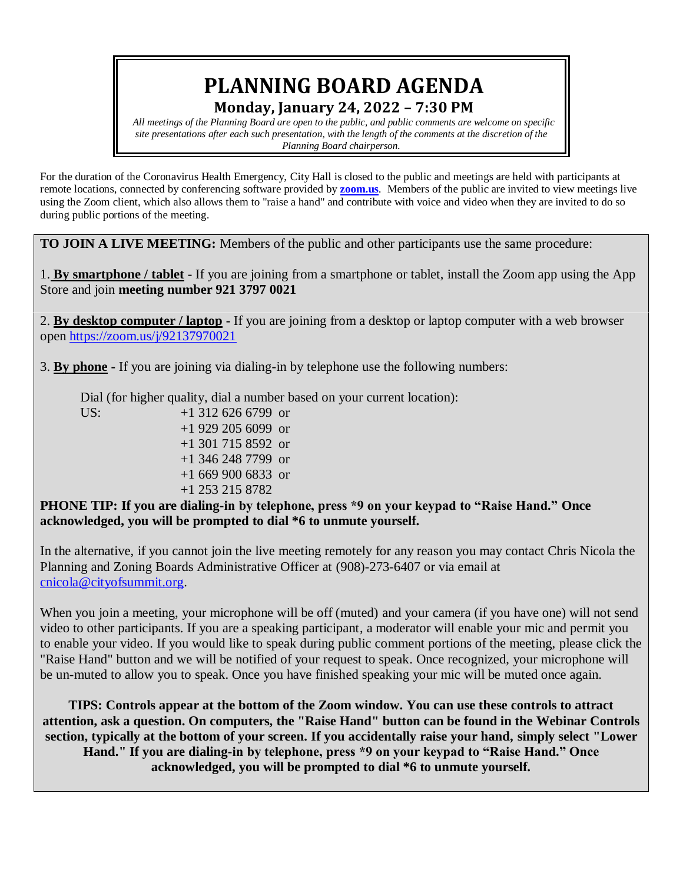# **PLANNING BOARD AGENDA Monday, January 24, 2022 – 7:30 PM**

*All meetings of the Planning Board are open to the public, and public comments are welcome on specific site presentations after each such presentation, with the length of the comments at the discretion of the Planning Board chairperson.*

For the duration of the Coronavirus Health Emergency, City Hall is closed to the public and meetings are held with participants at remote locations, connected by conferencing software provided by **[zoom.us](https://zoom.us/)**. Members of the public are invited to view meetings live using the Zoom client, which also allows them to "raise a hand" and contribute with voice and video when they are invited to do so during public portions of the meeting.

**TO JOIN A LIVE MEETING:** Members of the public and other participants use the same procedure:

1. **By smartphone / tablet -** If you are joining from a smartphone or tablet, install the Zoom app using the App Store and join **meeting number 921 3797 0021**

2. **By desktop computer / laptop -** If you are joining from a desktop or laptop computer with a web browser open <https://zoom.us/j/92137970021>

3. **By phone -** If you are joining via dialing-in by telephone use the following numbers:

Dial (for higher quality, dial a number based on your current location):

US:  $+1,312,626,6799$  or +1 929 205 6099 or +1 301 715 8592 or +1 346 248 7799 or +1 669 900 6833 or +1 253 215 8782

**PHONE TIP: If you are dialing-in by telephone, press \*9 on your keypad to "Raise Hand." Once acknowledged, you will be prompted to dial \*6 to unmute yourself.**

In the alternative, if you cannot join the live meeting remotely for any reason you may contact Chris Nicola the Planning and Zoning Boards Administrative Officer at (908)-273-6407 or via email at [cnicola@cityofsummit.org.](mailto:cnicola@cityofsummit.org)

When you join a meeting, your microphone will be off (muted) and your camera (if you have one) will not send video to other participants. If you are a speaking participant, a moderator will enable your mic and permit you to enable your video. If you would like to speak during public comment portions of the meeting, please click the "Raise Hand" button and we will be notified of your request to speak. Once recognized, your microphone will be un-muted to allow you to speak. Once you have finished speaking your mic will be muted once again.

**TIPS: Controls appear at the bottom of the Zoom window. You can use these controls to attract attention, ask a question. On computers, the "Raise Hand" button can be found in the Webinar Controls section, typically at the bottom of your screen. If you accidentally raise your hand, simply select "Lower Hand." If you are dialing-in by telephone, press \*9 on your keypad to "Raise Hand." Once acknowledged, you will be prompted to dial \*6 to unmute yourself.**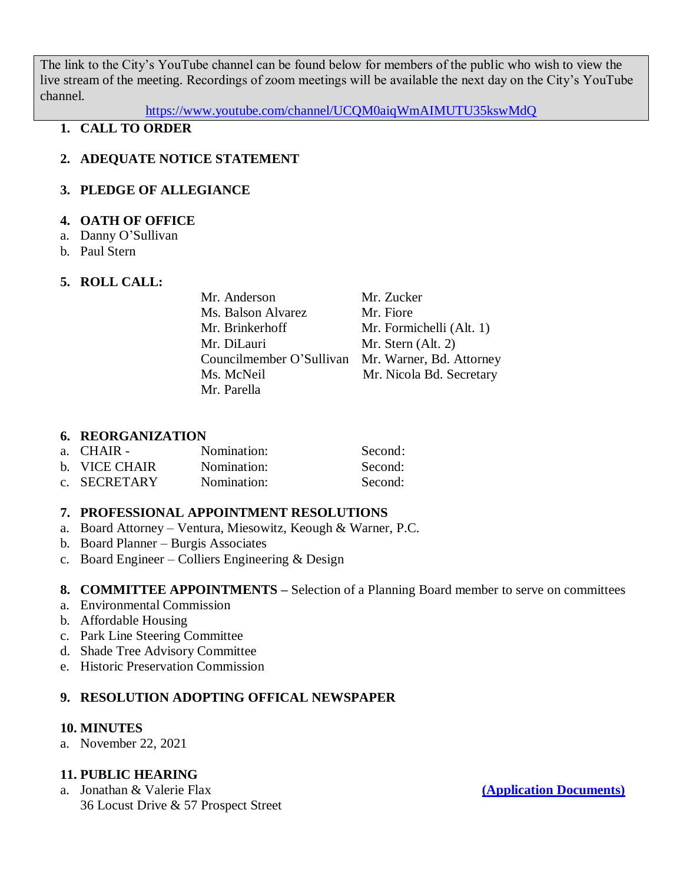The link to the City's YouTube channel can be found below for members of the public who wish to view the live stream of the meeting. Recordings of zoom meetings will be available the next day on the City's YouTube channel.

<https://www.youtube.com/channel/UCQM0aiqWmAIMUTU35kswMdQ>

## **1. CALL TO ORDER**

## **2. ADEQUATE NOTICE STATEMENT**

## **3. PLEDGE OF ALLEGIANCE**

#### **4. OATH OF OFFICE**

- a. Danny O'Sullivan
- b. Paul Stern

## **5. ROLL CALL:**

| Mr. Anderson                                      | Mr. Zucker               |
|---------------------------------------------------|--------------------------|
| Ms. Balson Alvarez                                | Mr. Fiore                |
| Mr. Brinkerhoff                                   | Mr. Formichelli (Alt. 1) |
| Mr. DiLauri                                       | Mr. Stern (Alt. 2)       |
| Councilmember O'Sullivan Mr. Warner, Bd. Attorney |                          |
| Ms. McNeil                                        | Mr. Nicola Bd. Secretary |
| Mr. Parella                                       |                          |

#### **6. REORGANIZATION**

| a. CHAIR -    | Nomination: | Second: |
|---------------|-------------|---------|
| b. VICE CHAIR | Nomination: | Second: |
| c. SECRETARY  | Nomination: | Second: |

## **7. PROFESSIONAL APPOINTMENT RESOLUTIONS**

- a. Board Attorney Ventura, Miesowitz, Keough & Warner, P.C.
- b. Board Planner Burgis Associates
- c. Board Engineer Colliers Engineering & Design

## **8. COMMITTEE APPOINTMENTS –** Selection of a Planning Board member to serve on committees

- a. Environmental Commission
- b. Affordable Housing
- c. Park Line Steering Committee
- d. Shade Tree Advisory Committee
- e. Historic Preservation Commission

## **9. RESOLUTION ADOPTING OFFICAL NEWSPAPER**

## **10. MINUTES**

a. November 22, 2021

## **11. PUBLIC HEARING**

a. Jonathan & Valerie Flax **[\(Application Documents\)](https://www.cityofsummit.org/311/Planning-Board)** 36 Locust Drive & 57 Prospect Street